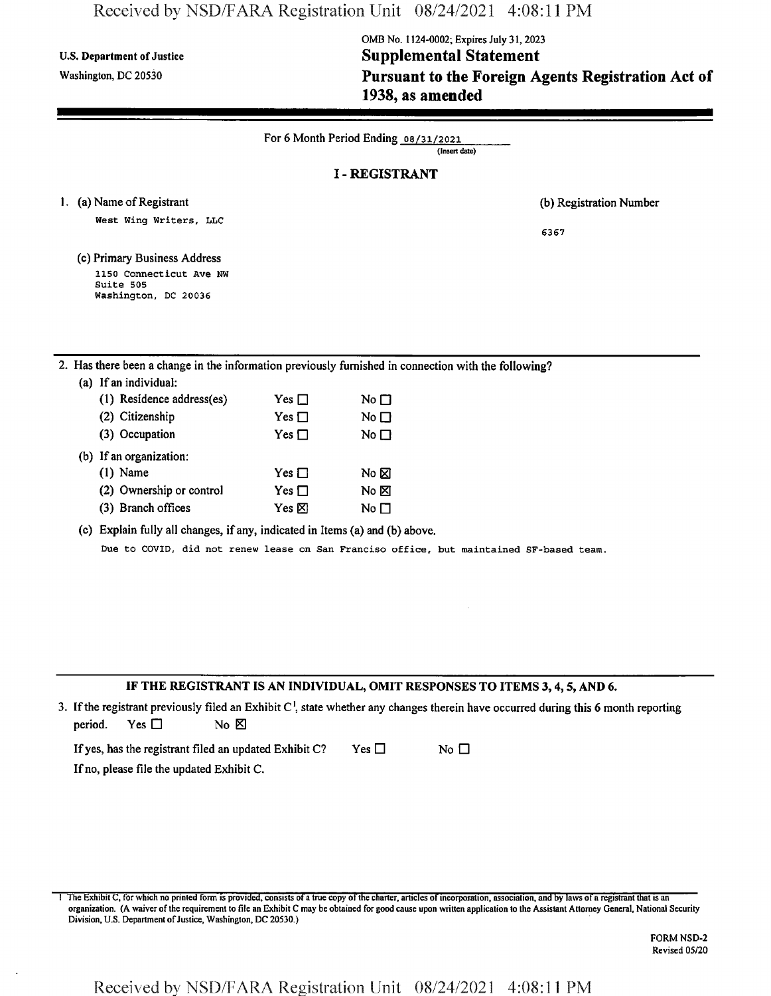## Received by NSD/FARA Registration Unit 08/24/2021 4:08:11 PM

# **OMB No. 1124-0002; Expires July 31,2023** U.S. Department of Justice **Supplemental** Statement **Washington, dc <sup>20530</sup> Pursuant to the Foreign Agents Registration Act of 1938, as amended**

| <b>I-REGISTRANT</b><br>1. (a) Name of Registrant<br>West Wing Writers, LLC<br>6367<br>(c) Primary Business Address<br>1150 Connecticut Ave NW<br>Suite 505<br>Washington, DC 20036<br>2. Has there been a change in the information previously furnished in connection with the following?<br>(a) If an individual:<br>(1) Residence address(es)<br>Yes $\Box$<br>No $\square$<br>(2) Citizenship<br>Yes $\Box$<br>No $\square$<br>(3) Occupation<br>Yes $\Box$<br>No $\Box$<br>(b) If an organization:<br>$(1)$ Name<br>Yes $\Box$<br>No $\boxtimes$<br>(2) Ownership or control<br>Yes $\Box$<br>No ⊠<br>(3) Branch offices<br>Yes $\boxtimes$<br>No $\square$<br>(c) Explain fully all changes, if any, indicated in Items (a) and (b) above. | For 6 Month Period Ending 08/31/2021<br>(Insert date) |  |  |                         |  |  |  |
|--------------------------------------------------------------------------------------------------------------------------------------------------------------------------------------------------------------------------------------------------------------------------------------------------------------------------------------------------------------------------------------------------------------------------------------------------------------------------------------------------------------------------------------------------------------------------------------------------------------------------------------------------------------------------------------------------------------------------------------------------|-------------------------------------------------------|--|--|-------------------------|--|--|--|
|                                                                                                                                                                                                                                                                                                                                                                                                                                                                                                                                                                                                                                                                                                                                                  |                                                       |  |  |                         |  |  |  |
|                                                                                                                                                                                                                                                                                                                                                                                                                                                                                                                                                                                                                                                                                                                                                  |                                                       |  |  | (b) Registration Number |  |  |  |
|                                                                                                                                                                                                                                                                                                                                                                                                                                                                                                                                                                                                                                                                                                                                                  |                                                       |  |  |                         |  |  |  |
|                                                                                                                                                                                                                                                                                                                                                                                                                                                                                                                                                                                                                                                                                                                                                  |                                                       |  |  |                         |  |  |  |
|                                                                                                                                                                                                                                                                                                                                                                                                                                                                                                                                                                                                                                                                                                                                                  |                                                       |  |  |                         |  |  |  |
|                                                                                                                                                                                                                                                                                                                                                                                                                                                                                                                                                                                                                                                                                                                                                  |                                                       |  |  |                         |  |  |  |
|                                                                                                                                                                                                                                                                                                                                                                                                                                                                                                                                                                                                                                                                                                                                                  |                                                       |  |  |                         |  |  |  |
|                                                                                                                                                                                                                                                                                                                                                                                                                                                                                                                                                                                                                                                                                                                                                  |                                                       |  |  |                         |  |  |  |
|                                                                                                                                                                                                                                                                                                                                                                                                                                                                                                                                                                                                                                                                                                                                                  |                                                       |  |  |                         |  |  |  |
|                                                                                                                                                                                                                                                                                                                                                                                                                                                                                                                                                                                                                                                                                                                                                  |                                                       |  |  |                         |  |  |  |
|                                                                                                                                                                                                                                                                                                                                                                                                                                                                                                                                                                                                                                                                                                                                                  |                                                       |  |  |                         |  |  |  |
|                                                                                                                                                                                                                                                                                                                                                                                                                                                                                                                                                                                                                                                                                                                                                  |                                                       |  |  |                         |  |  |  |
|                                                                                                                                                                                                                                                                                                                                                                                                                                                                                                                                                                                                                                                                                                                                                  |                                                       |  |  |                         |  |  |  |
|                                                                                                                                                                                                                                                                                                                                                                                                                                                                                                                                                                                                                                                                                                                                                  |                                                       |  |  |                         |  |  |  |
|                                                                                                                                                                                                                                                                                                                                                                                                                                                                                                                                                                                                                                                                                                                                                  |                                                       |  |  |                         |  |  |  |
|                                                                                                                                                                                                                                                                                                                                                                                                                                                                                                                                                                                                                                                                                                                                                  |                                                       |  |  |                         |  |  |  |
| Due to COVID, did not renew lease on San Franciso office, but maintained SF-based team.                                                                                                                                                                                                                                                                                                                                                                                                                                                                                                                                                                                                                                                          |                                                       |  |  |                         |  |  |  |
|                                                                                                                                                                                                                                                                                                                                                                                                                                                                                                                                                                                                                                                                                                                                                  |                                                       |  |  |                         |  |  |  |
|                                                                                                                                                                                                                                                                                                                                                                                                                                                                                                                                                                                                                                                                                                                                                  |                                                       |  |  |                         |  |  |  |

IF THE REGISTRANT IS AN INDIVIDUAL, OMIT RESPONSES TO ITEMS 3,4,5, AND 6.

3. If the registrant previously filed an Exhibit  $C<sup>1</sup>$ , state whether any changes therein have occurred during this 6 month reporting period. Yes  $\square$  No  $\boxtimes$ 

If yes, has the registrant filed an updated Exhibit C? Yes  $\Box$  No  $\Box$ If no, please file the updated Exhibit C.

1 The Exhibit C, for which no printed form is provided, consists of a true copy of the charter, articles of incorporation, association, and by laws of a registrant that is an organization. (A waiver ofthe requirement to file an Exhibit C may be obtained for good cause upon written application to the Assistant Attorney General, National Security Division, U.S. Department of Justice, Washington, DC 20530.)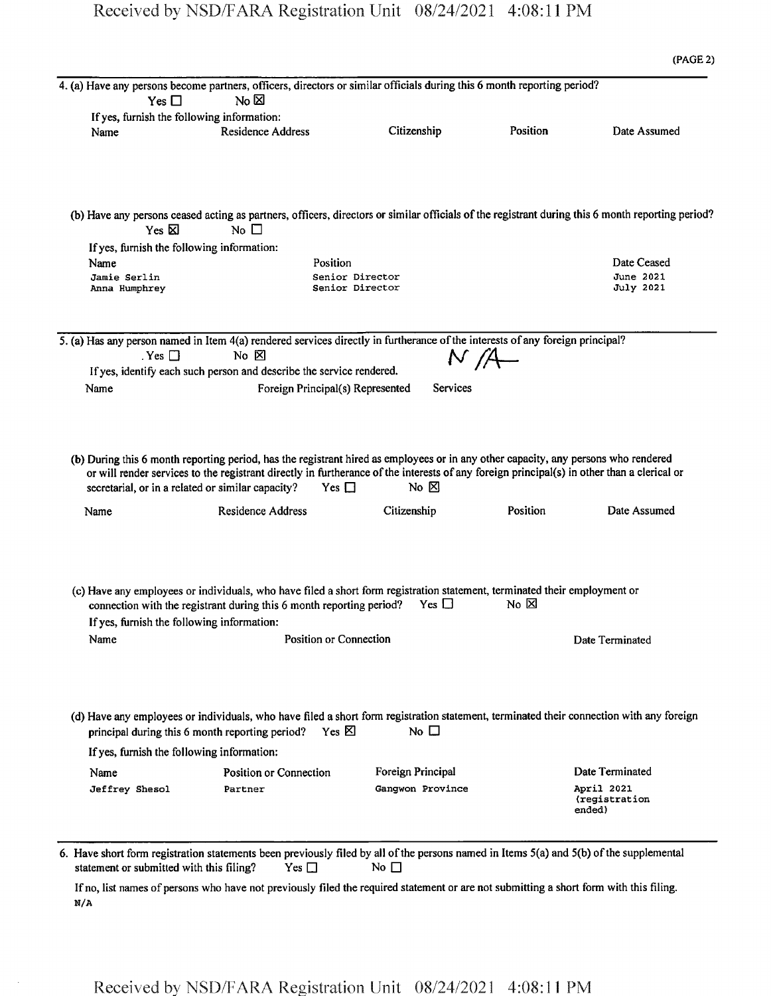|                                                    |                                                                                                                                                                                                                                                                                  |                            |                | (PAGE 2)        |
|----------------------------------------------------|----------------------------------------------------------------------------------------------------------------------------------------------------------------------------------------------------------------------------------------------------------------------------------|----------------------------|----------------|-----------------|
|                                                    | 4. (a) Have any persons become partners, officers, directors or similar officials during this 6 month reporting period?                                                                                                                                                          |                            |                |                 |
| Yes $\Box$                                         | No $\boxtimes$                                                                                                                                                                                                                                                                   |                            |                |                 |
| If yes, furnish the following information:         |                                                                                                                                                                                                                                                                                  |                            |                |                 |
| Name                                               | <b>Residence Address</b>                                                                                                                                                                                                                                                         | Citizenship                | Position       | Date Assumed    |
|                                                    |                                                                                                                                                                                                                                                                                  |                            |                |                 |
| Yes $\nabla$                                       | (b) Have any persons ceased acting as partners, officers, directors or similar officials of the registrant during this 6 month reporting period?<br>No $\square$                                                                                                                 |                            |                |                 |
| If yes, furnish the following information:         |                                                                                                                                                                                                                                                                                  |                            |                |                 |
| Name                                               | Position                                                                                                                                                                                                                                                                         |                            |                | Date Ceased     |
| Jamie Serlin                                       |                                                                                                                                                                                                                                                                                  | Senior Director            |                | June 2021       |
| Anna Humphrey                                      |                                                                                                                                                                                                                                                                                  | Senior Director            |                | July 2021       |
|                                                    | 5. (a) Has any person named in Item 4(a) rendered services directly in furtherance of the interests of any foreign principal?                                                                                                                                                    |                            |                |                 |
| $Yes$ $\Box$                                       | $No$ $\boxtimes$                                                                                                                                                                                                                                                                 | N/A                        |                |                 |
|                                                    | If yes, identify each such person and describe the service rendered.                                                                                                                                                                                                             |                            |                |                 |
| Name                                               | Foreign Principal(s) Represented                                                                                                                                                                                                                                                 | Services                   |                |                 |
|                                                    |                                                                                                                                                                                                                                                                                  |                            |                |                 |
|                                                    | (b) During this 6 month reporting period, has the registrant hired as employees or in any other capacity, any persons who rendered<br>or will render services to the registrant directly in furtherance of the interests of any foreign principal(s) in other than a clerical or |                            |                |                 |
| Name                                               | secretarial, or in a related or similar capacity?<br>Yes $\Box$<br><b>Residence Address</b>                                                                                                                                                                                      | $No \times$<br>Citizenship | Position       | Date Assumed    |
| If yes, furnish the following information:<br>Name | (c) Have any employees or individuals, who have filed a short form registration statement, terminated their employment or<br>connection with the registrant during this 6 month reporting period?<br>Position or Connection                                                      | Yes $\Box$                 | $No~\boxtimes$ | Date Terminated |
|                                                    | (d) Have any employees or individuals, who have filed a short form registration statement, terminated their connection with any foreign<br>Yes $\boxtimes$<br>principal during this 6 month reporting period?                                                                    | No $\Box$                  |                |                 |
| If yes, furnish the following information:         |                                                                                                                                                                                                                                                                                  |                            |                |                 |
| Name                                               | Position or Connection                                                                                                                                                                                                                                                           | Foreign Principal          |                | Date Terminated |

If no, list names of persons who have not previously filed the required statement or are not submitting a short form with this filing. N/A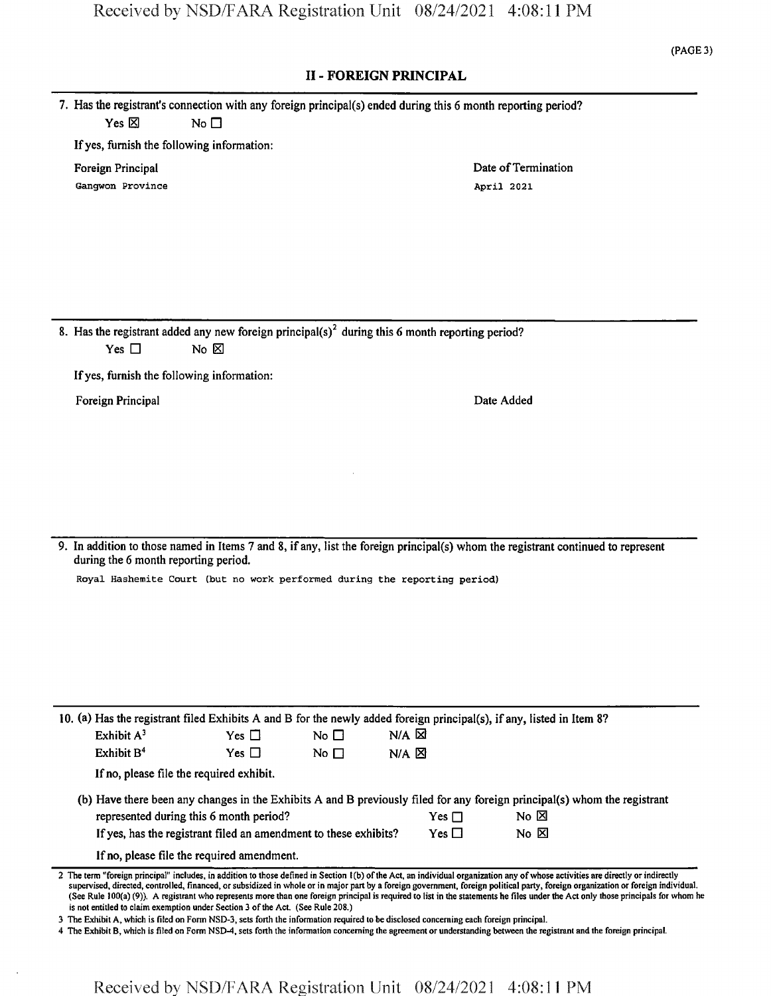**(PAGE 3)**

## **II - FOREIGN PRINCIPAL**

|                 |           | 7. Has the registrant's connection with any foreign principal(s) ended during this 6 month reporting period? |
|-----------------|-----------|--------------------------------------------------------------------------------------------------------------|
| Yes $\boxtimes$ | No $\Box$ |                                                                                                              |

If yes, furnish the following information:

Gangwon Province **April 2021** 

Foreign Principal **Foreign Principal** Date of Termination

8. Has the registrant added any new foreign principal(s)<sup>2</sup> during this 6 month reporting period? Yes  $\square$  No  $\square$ 

Ifyes, furnish the following information:

Foreign Principal Date Added

9. In addition to those named in Items 7 and 8, if any, list the foreign principal(s) whom the registrant continued to represent during the 6 month reporting period.

Royal Hashemite Court (but no work performed during the reporting period)

|                                                                                        | 10. (a) Has the registrant filed Exhibits A and B for the newly added foreign principal(s), if any, listed in Item 8? |            |           |                   |  |                                                                                                                           |  |  |
|----------------------------------------------------------------------------------------|-----------------------------------------------------------------------------------------------------------------------|------------|-----------|-------------------|--|---------------------------------------------------------------------------------------------------------------------------|--|--|
|                                                                                        | Exhibit $A^3$                                                                                                         | Yes $\Box$ | No $\Box$ | $N/A$ $\boxtimes$ |  |                                                                                                                           |  |  |
|                                                                                        | Exhibit $B4$                                                                                                          | Yes $\Box$ | No $\Box$ | $N/A$ $\Sigma$    |  |                                                                                                                           |  |  |
|                                                                                        | If no, please file the required exhibit.                                                                              |            |           |                   |  |                                                                                                                           |  |  |
|                                                                                        |                                                                                                                       |            |           |                   |  | (b) Have there been any changes in the Exhibits A and B previously filed for any foreign principal(s) whom the registrant |  |  |
|                                                                                        | represented during this 6 month period?<br>No X<br>$Yes \sqcap$                                                       |            |           |                   |  |                                                                                                                           |  |  |
| If yes, has the registrant filed an amendment to these exhibits?<br>$Yes \Box$<br>No E |                                                                                                                       |            |           |                   |  |                                                                                                                           |  |  |
|                                                                                        | If no, please file the required amendment.                                                                            |            |           |                   |  |                                                                                                                           |  |  |

2 The term "foreign principal" includes, in addition to those defined in Section 1(b) ofthe Act, an individual organization any ofwhose activities are directly or indirectly supervised, directed, controlled, financed, orsubsidized in whole or in major part by a foreign government, foreign political party, foreign organization or foreign individual. (See Rule 100(a) (9)). A registrant who represents more than one foreign principal is required to list in the statements he files under the Act only those principals for whom he is not entitled to claim exemption under Section 3 of the Act. (See Rule 208.)

3 The Exhibit A, which is filed on Form NSD-3, sets forth the information required to be disclosed concerning each foreign principal.

4 The Exhibit B, which is filed on Form NSD-4, sets forth the information concerning the agreement or understanding between the registrant and the foreign principal.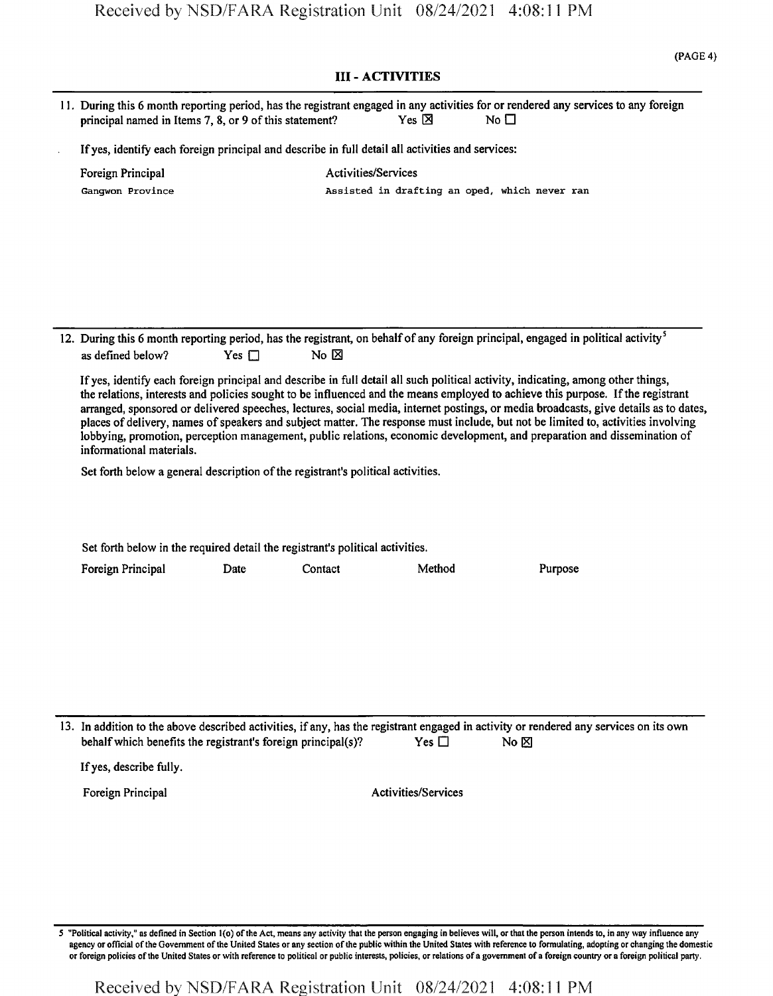|                                                                                                                                                                                                                                                                                                                                                                                                                                                                                                                                                                                                                                                                                                                                                                                            |                                                                                                                                                                                                                       |                                                                                                  |                            | <b>III - ACTIVITIES</b>    |                                               |  |  |  |
|--------------------------------------------------------------------------------------------------------------------------------------------------------------------------------------------------------------------------------------------------------------------------------------------------------------------------------------------------------------------------------------------------------------------------------------------------------------------------------------------------------------------------------------------------------------------------------------------------------------------------------------------------------------------------------------------------------------------------------------------------------------------------------------------|-----------------------------------------------------------------------------------------------------------------------------------------------------------------------------------------------------------------------|--------------------------------------------------------------------------------------------------|----------------------------|----------------------------|-----------------------------------------------|--|--|--|
|                                                                                                                                                                                                                                                                                                                                                                                                                                                                                                                                                                                                                                                                                                                                                                                            | 11. During this 6 month reporting period, has the registrant engaged in any activities for or rendered any services to any foreign<br>principal named in Items 7, 8, or 9 of this statement?<br>Yes 区<br>No $\square$ |                                                                                                  |                            |                            |                                               |  |  |  |
|                                                                                                                                                                                                                                                                                                                                                                                                                                                                                                                                                                                                                                                                                                                                                                                            |                                                                                                                                                                                                                       | If yes, identify each foreign principal and describe in full detail all activities and services: |                            |                            |                                               |  |  |  |
|                                                                                                                                                                                                                                                                                                                                                                                                                                                                                                                                                                                                                                                                                                                                                                                            | Foreign Principal<br>Gangwon Province                                                                                                                                                                                 |                                                                                                  | <b>Activities/Services</b> |                            | Assisted in drafting an oped, which never ran |  |  |  |
|                                                                                                                                                                                                                                                                                                                                                                                                                                                                                                                                                                                                                                                                                                                                                                                            |                                                                                                                                                                                                                       |                                                                                                  |                            |                            |                                               |  |  |  |
|                                                                                                                                                                                                                                                                                                                                                                                                                                                                                                                                                                                                                                                                                                                                                                                            | 12. During this 6 month reporting period, has the registrant, on behalf of any foreign principal, engaged in political activity <sup>5</sup><br>as defined below?                                                     | Yes $\Box$                                                                                       | No $\boxtimes$             |                            |                                               |  |  |  |
| If yes, identify each foreign principal and describe in full detail all such political activity, indicating, among other things,<br>the relations, interests and policies sought to be influenced and the means employed to achieve this purpose. If the registrant<br>arranged, sponsored or delivered speeches, lectures, social media, internet postings, or media broadcasts, give details as to dates,<br>places of delivery, names of speakers and subject matter. The response must include, but not be limited to, activities involving<br>lobbying, promotion, perception management, public relations, economic development, and preparation and dissemination of<br>informational materials.<br>Set forth below a general description of the registrant's political activities. |                                                                                                                                                                                                                       |                                                                                                  |                            |                            |                                               |  |  |  |
|                                                                                                                                                                                                                                                                                                                                                                                                                                                                                                                                                                                                                                                                                                                                                                                            |                                                                                                                                                                                                                       |                                                                                                  |                            |                            |                                               |  |  |  |
|                                                                                                                                                                                                                                                                                                                                                                                                                                                                                                                                                                                                                                                                                                                                                                                            | Set forth below in the required detail the registrant's political activities.                                                                                                                                         |                                                                                                  |                            |                            |                                               |  |  |  |
|                                                                                                                                                                                                                                                                                                                                                                                                                                                                                                                                                                                                                                                                                                                                                                                            | Foreign Principal                                                                                                                                                                                                     | Date                                                                                             | Contact                    | Method                     | Purpose                                       |  |  |  |
|                                                                                                                                                                                                                                                                                                                                                                                                                                                                                                                                                                                                                                                                                                                                                                                            | 13. In addition to the above described activities, if any, has the registrant engaged in activity or rendered any services on its own<br>behalf which benefits the registrant's foreign principal(s)?                 |                                                                                                  |                            | Yes $\square$              | No $\boxtimes$                                |  |  |  |
|                                                                                                                                                                                                                                                                                                                                                                                                                                                                                                                                                                                                                                                                                                                                                                                            | If yes, describe fully.                                                                                                                                                                                               |                                                                                                  |                            |                            |                                               |  |  |  |
|                                                                                                                                                                                                                                                                                                                                                                                                                                                                                                                                                                                                                                                                                                                                                                                            | Foreign Principal                                                                                                                                                                                                     |                                                                                                  |                            | <b>Activities/Services</b> |                                               |  |  |  |
|                                                                                                                                                                                                                                                                                                                                                                                                                                                                                                                                                                                                                                                                                                                                                                                            |                                                                                                                                                                                                                       |                                                                                                  |                            |                            |                                               |  |  |  |

5 "Political activity," as defined in Section l(o) ofthe Act, means any activity that the person engaging in believes will, or that the person intends to, in any way influence any agency or official of the Government of the United States or any section of the public within the United States with reference to formulating, adopting or changing the domestic or foreign policies ofthe United States or with reference to political or public interests, policies, or relations of a government ofa foreign country or a foreign political party.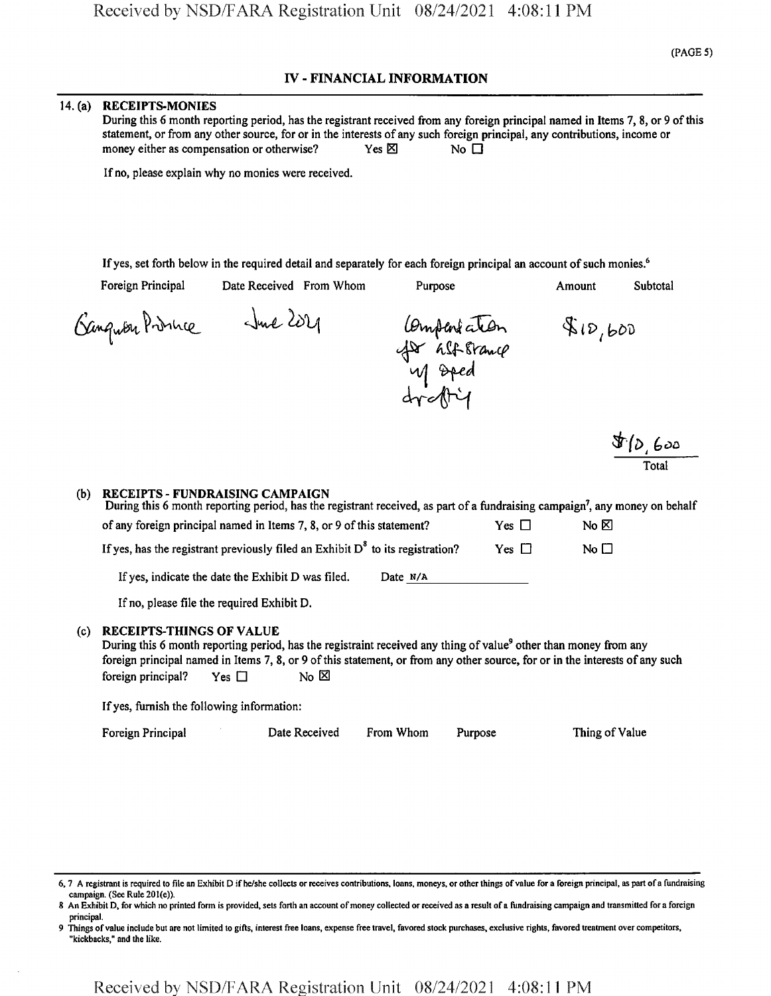## **IV - FINANCIAL INFORMATION**

#### 14. (a) RECEIPTS-MONIES

During this 6 month reporting period, has the registrant received from any foreign principal named in Items 7, 8, or 9 ofthis statement, or from any other source, for or in the interests of any such foreign principal, any contributions, income or money either as compensation or otherwise?  $Yes \boxtimes$  No  $\Box$ 

If no, please explain why no monies were received.

If yes, set forth below in the required detail and separately for each foreign principal an account of such monies.<sup>6</sup>

Foreign Principal Date Received From Whom Purpose Amount Subtotal

Georgester Prince June 2021

Compariation<br>for alforming<br>up oped<br>dreftig  $80,600$ 

*&'(&l G&&* Total

#### (b) RECEIPTS - FUNDRAISING CAMPAIGN

| During this 6 month reporting period, has the registrant received, as part of a fundraising campaign <sup>7</sup> , any money on behalf |            |            |           |
|-----------------------------------------------------------------------------------------------------------------------------------------|------------|------------|-----------|
| of any foreign principal named in Items 7, 8, or 9 of this statement?                                                                   |            | Yes $\Box$ | No ⊠      |
| If yes, has the registrant previously filed an Exhibit $D^8$ to its registration?                                                       |            | Yes $\Box$ | No $\Box$ |
| If yes, indicate the date the Exhibit D was filed.                                                                                      | Date $N/A$ |            |           |

If no, please file the required Exhibit D.

#### (c) RECEIPTS-THINGS OF VALUE

During this 6 month reporting period, has the registraint received any thing of value<sup>9</sup> other than money from any foreign principal named in Items 7, 8, or 9 of this statement, or from any other source, for or in the interests of any such foreign principal? Yes  $\square$  No  $\boxtimes$ 

If yes, furnish the following information:

#### Foreign Principal 2012 Date Received From Whom Purpose Thing of Value

<sup>6, 7</sup> A registrant is required to file an Exhibit D if he/she collects or receives contributions, loans, moneys, or other things of value for a foreign principal, as part of a fundraising campaign. (See Rule 201(e)).

<sup>8</sup> An Exhibit D, for which no printed form is provided, sets forth an account of money collected or received as a result of a fundraising campaign and transmitted for a foreign principal.

Things of value include but are not limited to gifts, interest free loans, expense free travel, favored stock purchases, exclusive rights, favored treatment over competitors, "kickbacks," and the like.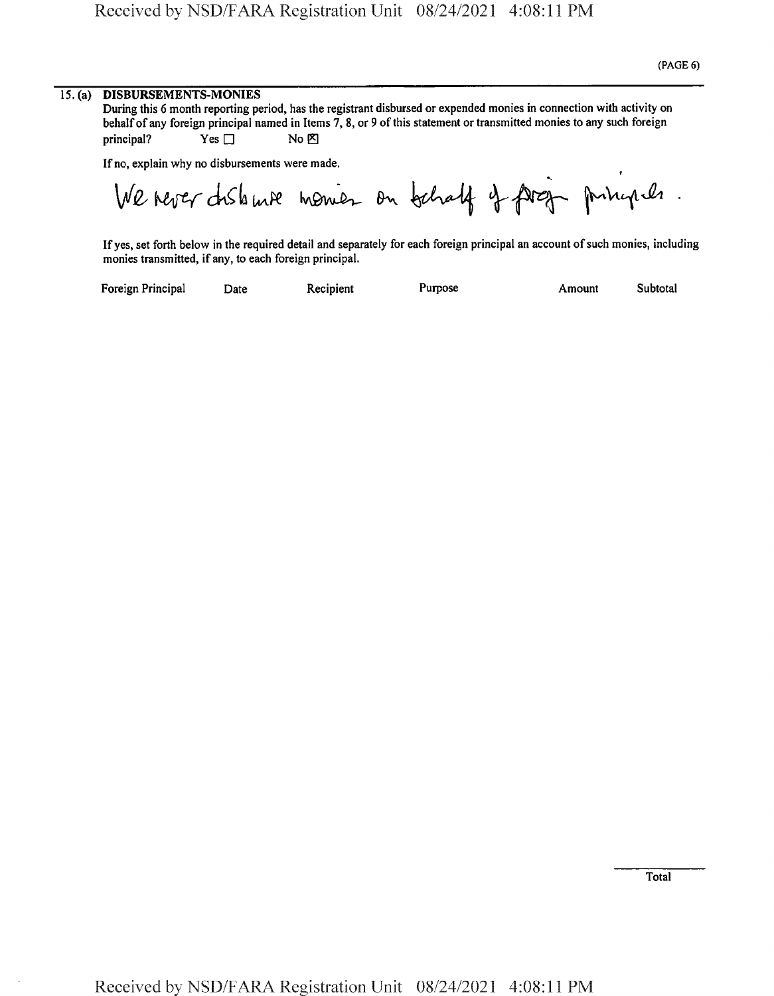### 15. (a) DISBURSEMENTS-MONIES

During this 6 month reporting period, has the registrant disbursed or expended monies in connection with activity on behalf of any foreign principal named in Items 7, 8, or 9 of this statement or transmitted monies to any such foreign  $P$  principal? Yes  $\Box$  No  $\boxtimes$ 

If no, explain why no disbursements were made.

*t* **If no, explain why no disbursements were made.<br>
<b>We hever dislousements** were made.<br> **We hever dislouse were made.**<br> **We hever dislouse were model** on behalf of foreign principals.

If yes, set forth below in the required detail and separately for each foreign principal an account of such monies, including monies transmitted, if any, to each foreign principal.

Foreign Principal Date Recipient Purpose Amount Subtotal

Total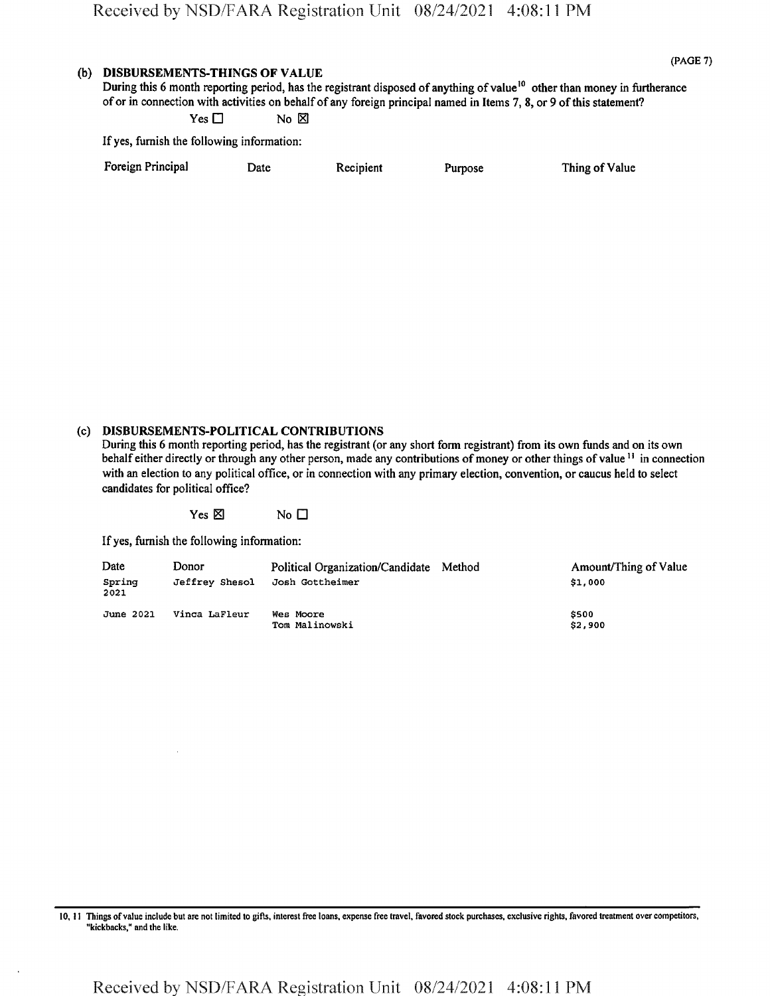## (b) DISBURSEMENTS-THINGS OF VALUE

(PAGE 7)

Thing of Value

During this 6 month reporting period, has the registrant disposed of anything of value<sup>10</sup> other than money in furtherance of or in connection with activities on behalf of any foreign principal named in Items 7, 8, or 9 of this statement?  $Yes \Box$  No  $\boxtimes$ 

If yes, furnish the following information:

| Foreign Principal | Date | Recipient | Purpose |  |
|-------------------|------|-----------|---------|--|
|-------------------|------|-----------|---------|--|

## (c) DISBURSEMENTS-POLITICAL CONTRIBUTIONS

During this 6 month reporting period, has the registrant (or any short form registrant) from its own funds and on its own behalf either directly or through any other person, made any contributions of money or other things of value<sup>11</sup> in connection with an election to any political office, or in connection with any primary election, convention, or caucus held to select candidates for political office?

 $Yes \boxtimes$  No  $\square$ 

If yes, furnish the following information:

| Date<br>Spring<br>2021 | Donor<br>Jeffrey Shesol | Political Organization/Candidate Method<br>Josh Gottheimer | Amount/Thing of Value<br>\$1,000 |
|------------------------|-------------------------|------------------------------------------------------------|----------------------------------|
| June 2021              | Vinca LaFleur           | Wes Moore<br>Tom Malinowski                                | \$500<br>\$2,900                 |

<sup>10,11</sup> Things ofvalue include but are not limited to gifts, interest free loans, expense free travel, favored stock purchases, exclusive rights, favored treatment over competitors, "kickbacks," and the like.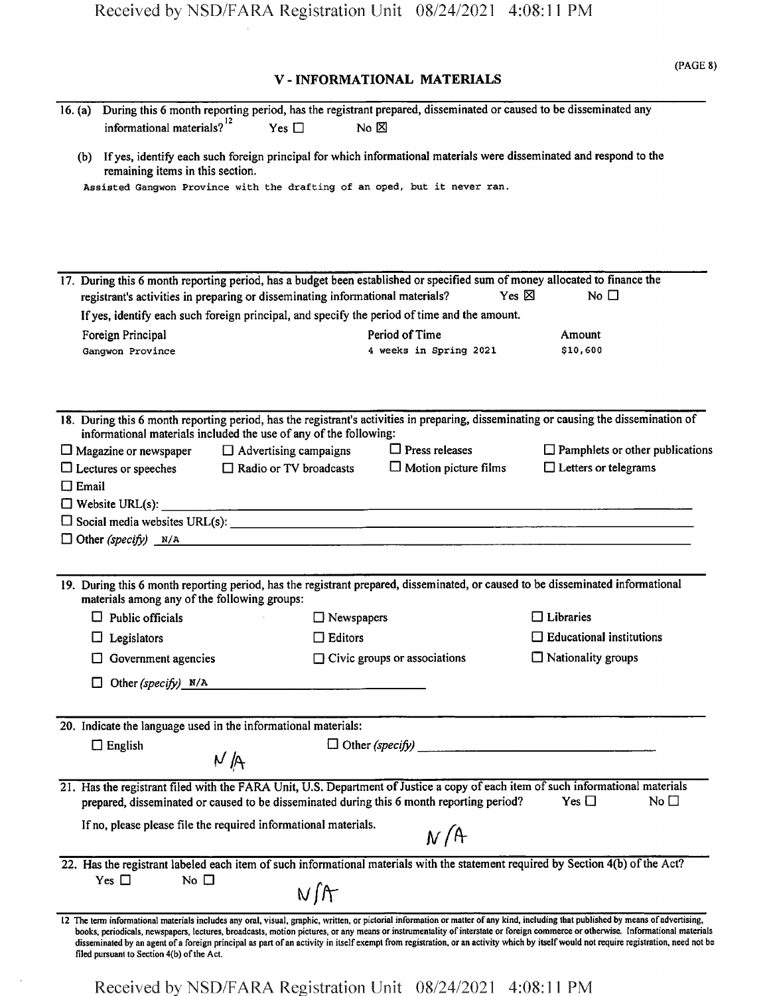## **V - INFORMATIONAL MATERIALS**

**(PAGE 8)**

| 16. $(a)$<br>informational materials? <sup>12</sup>                            | Yes $\Box$ |                   | During this 6 month reporting period, has the registrant prepared, disseminated or caused to be disseminated any<br>$No & \boxtimes$ |                                                                                                                                                                                                                                                                                                                                                                         |
|--------------------------------------------------------------------------------|------------|-------------------|--------------------------------------------------------------------------------------------------------------------------------------|-------------------------------------------------------------------------------------------------------------------------------------------------------------------------------------------------------------------------------------------------------------------------------------------------------------------------------------------------------------------------|
| (b)                                                                            |            |                   | If yes, identify each such foreign principal for which informational materials were disseminated and respond to the                  |                                                                                                                                                                                                                                                                                                                                                                         |
| remaining items in this section.                                               |            |                   | Assisted Gangwon Province with the drafting of an oped, but it never ran.                                                            |                                                                                                                                                                                                                                                                                                                                                                         |
|                                                                                |            |                   |                                                                                                                                      |                                                                                                                                                                                                                                                                                                                                                                         |
|                                                                                |            |                   |                                                                                                                                      |                                                                                                                                                                                                                                                                                                                                                                         |
|                                                                                |            |                   |                                                                                                                                      |                                                                                                                                                                                                                                                                                                                                                                         |
|                                                                                |            |                   |                                                                                                                                      |                                                                                                                                                                                                                                                                                                                                                                         |
|                                                                                |            |                   | 17. During this 6 month reporting period, has a budget been established or specified sum of money allocated to finance the           |                                                                                                                                                                                                                                                                                                                                                                         |
| registrant's activities in preparing or disseminating informational materials? |            |                   | Yes $\boxtimes$                                                                                                                      | No $\Box$                                                                                                                                                                                                                                                                                                                                                               |
|                                                                                |            |                   | If yes, identify each such foreign principal, and specify the period of time and the amount.                                         |                                                                                                                                                                                                                                                                                                                                                                         |
| Foreign Principal                                                              |            |                   | Period of Time                                                                                                                       | Amount                                                                                                                                                                                                                                                                                                                                                                  |
| Ganqwon Province                                                               |            |                   | 4 weeks in Spring 2021                                                                                                               | \$10,600                                                                                                                                                                                                                                                                                                                                                                |
|                                                                                |            |                   |                                                                                                                                      |                                                                                                                                                                                                                                                                                                                                                                         |
|                                                                                |            |                   |                                                                                                                                      |                                                                                                                                                                                                                                                                                                                                                                         |
|                                                                                |            |                   |                                                                                                                                      | 18. During this 6 month reporting period, has the registrant's activities in preparing, disseminating or causing the dissemination of                                                                                                                                                                                                                                   |
| informational materials included the use of any of the following:              |            |                   |                                                                                                                                      |                                                                                                                                                                                                                                                                                                                                                                         |
| $\Box$ Magazine or newspaper $\Box$ Advertising campaigns                      |            |                   | $\Box$ Press releases                                                                                                                | $\Box$ Pamphlets or other publications                                                                                                                                                                                                                                                                                                                                  |
| $\Box$ Lectures or speeches $\Box$ Radio or TV broadcasts                      |            |                   | $\Box$ Motion picture films                                                                                                          | $\Box$ Letters or telegrams                                                                                                                                                                                                                                                                                                                                             |
| $\Box$ Email                                                                   |            |                   |                                                                                                                                      |                                                                                                                                                                                                                                                                                                                                                                         |
|                                                                                |            |                   |                                                                                                                                      |                                                                                                                                                                                                                                                                                                                                                                         |
|                                                                                |            |                   |                                                                                                                                      |                                                                                                                                                                                                                                                                                                                                                                         |
|                                                                                |            |                   | $\Box$ Other (specify) $N/A$                                                                                                         |                                                                                                                                                                                                                                                                                                                                                                         |
|                                                                                |            |                   |                                                                                                                                      |                                                                                                                                                                                                                                                                                                                                                                         |
| materials among any of the following groups:                                   |            |                   |                                                                                                                                      | 19. During this 6 month reporting period, has the registrant prepared, disseminated, or caused to be disseminated informational                                                                                                                                                                                                                                         |
| $\Box$ Public officials                                                        |            | $\Box$ Newspapers |                                                                                                                                      | $\Box$ Libraries                                                                                                                                                                                                                                                                                                                                                        |
| $\Box$ Legislators                                                             |            | $\Box$ Editors    |                                                                                                                                      | $\Box$ Educational institutions                                                                                                                                                                                                                                                                                                                                         |
| $\Box$ Government agencies                                                     |            |                   | $\Box$ Civic groups or associations                                                                                                  | $\Box$ Nationality groups                                                                                                                                                                                                                                                                                                                                               |
|                                                                                |            |                   |                                                                                                                                      |                                                                                                                                                                                                                                                                                                                                                                         |
| Other (specify) N/A<br>$\Box$                                                  |            |                   |                                                                                                                                      |                                                                                                                                                                                                                                                                                                                                                                         |
|                                                                                |            |                   |                                                                                                                                      |                                                                                                                                                                                                                                                                                                                                                                         |
| 20. Indicate the language used in the informational materials:                 |            |                   |                                                                                                                                      |                                                                                                                                                                                                                                                                                                                                                                         |
| $\Box$ English                                                                 |            |                   |                                                                                                                                      |                                                                                                                                                                                                                                                                                                                                                                         |
|                                                                                | M/A        |                   |                                                                                                                                      |                                                                                                                                                                                                                                                                                                                                                                         |
|                                                                                |            |                   |                                                                                                                                      | 21. Has the registrant filed with the FARA Unit, U.S. Department of Justice a copy of each item of such informational materials                                                                                                                                                                                                                                         |
|                                                                                |            |                   | prepared, disseminated or caused to be disseminated during this 6 month reporting period?                                            | Yes $\square$<br>No $\Box$                                                                                                                                                                                                                                                                                                                                              |
| If no, please please file the required informational materials.                |            |                   |                                                                                                                                      |                                                                                                                                                                                                                                                                                                                                                                         |
|                                                                                |            |                   | N/A                                                                                                                                  |                                                                                                                                                                                                                                                                                                                                                                         |
|                                                                                |            |                   |                                                                                                                                      | 22. Has the registrant labeled each item of such informational materials with the statement required by Section 4(b) of the Act?                                                                                                                                                                                                                                        |
| Yes $\Box$<br>No $\square$                                                     |            |                   |                                                                                                                                      |                                                                                                                                                                                                                                                                                                                                                                         |
|                                                                                |            | N/f               |                                                                                                                                      |                                                                                                                                                                                                                                                                                                                                                                         |
|                                                                                |            |                   |                                                                                                                                      | 12 The term informational materials includes any oral, visual, graphic, written, or pictorial information or matter of any kind, including that published by means of advertising,                                                                                                                                                                                      |
|                                                                                |            |                   |                                                                                                                                      | books, periodicals, newspapers, lectures, broadcasts, motion pictures, or any means or instrumentality of interstate or foreign commerce or otherwise. Informational materials<br>disseminated by an agent of a foreign principal as part of an activity in itself exempt from registration, or an activity which by itself would not require registration, need not be |
| filed pursuant to Section 4(b) of the Act.                                     |            |                   |                                                                                                                                      |                                                                                                                                                                                                                                                                                                                                                                         |

Received by NSD/FARA Registration Unit 08/24/2021 4:08:11 PM